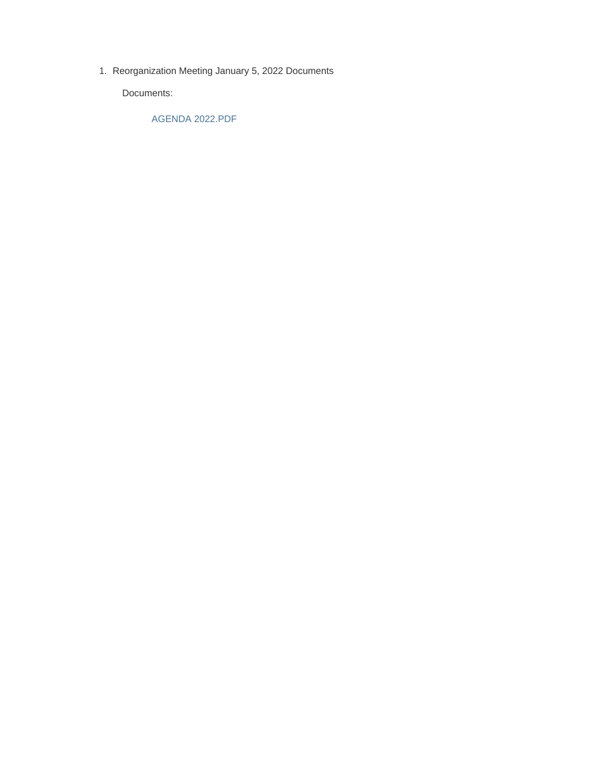1. Reorganization Meeting January 5, 2022 Documents

Documents:

AGENDA 2022.PDF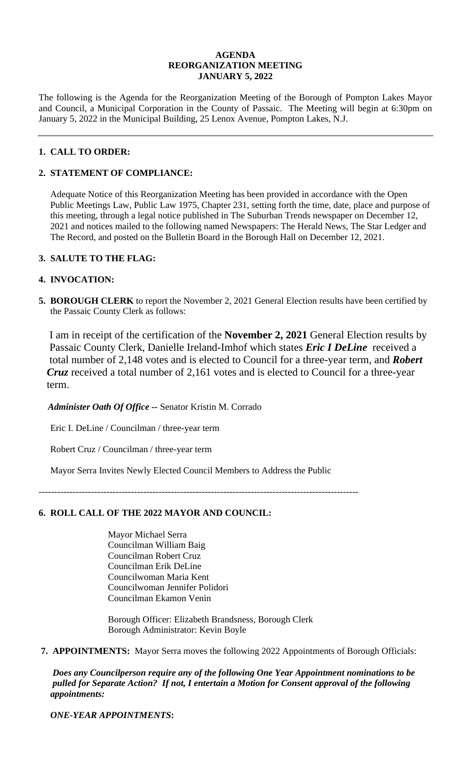### **AGENDA REORGANIZATION MEETING JANUARY 5, 2022**

The following is the Agenda for the Reorganization Meeting of the Borough of Pompton Lakes Mayor and Council, a Municipal Corporation in the County of Passaic. The Meeting will begin at 6:30pm on January 5, 2022 in the Municipal Building, 25 Lenox Avenue, Pompton Lakes, N.J.

# **1. CALL TO ORDER:**

# **2. STATEMENT OF COMPLIANCE:**

 Adequate Notice of this Reorganization Meeting has been provided in accordance with the Open Public Meetings Law, Public Law 1975, Chapter 231, setting forth the time, date, place and purpose of this meeting, through a legal notice published in The Suburban Trends newspaper on December 12, 2021 and notices mailed to the following named Newspapers: The Herald News, The Star Ledger and The Record, and posted on the Bulletin Board in the Borough Hall on December 12, 2021.

# **3. SALUTE TO THE FLAG:**

# **4. INVOCATION:**

**5. BOROUGH CLERK** to report the November 2, 2021 General Election results have been certified by the Passaic County Clerk as follows:

 I am in receipt of the certification of the **November 2, 2021** General Election results by Passaic County Clerk, Danielle Ireland-Imhof which states *Eric I DeLine* received a total number of 2,148 votes and is elected to Council for a three-year term, and *Robert Cruz* received a total number of 2,161 votes and is elected to Council for a three-year term.

*Administer Oath Of Office --* Senator Kristin M. Corrado

Eric I. DeLine / Councilman / three-year term

Robert Cruz / Councilman / three-year term

Mayor Serra Invites Newly Elected Council Members to Address the Public

--------------------------------------------------------------------------------------------------------

# **6. ROLL CALL OF THE 2022 MAYOR AND COUNCIL:**

Mayor Michael Serra Councilman William Baig Councilman Robert Cruz Councilman Erik DeLine Councilwoman Maria Kent Councilwoman Jennifer Polidori Councilman Ekamon Venin

 Borough Officer: Elizabeth Brandsness, Borough Clerk Borough Administrator: Kevin Boyle

 **7. APPOINTMENTS:** Mayor Serra moves the following 2022 Appointments of Borough Officials:

 *Does any Councilperson require any of the following One Year Appointment nominations to be pulled for Separate Action? If not, I entertain a Motion for Consent approval of the following appointments:*

*ONE-YEAR APPOINTMENTS***:**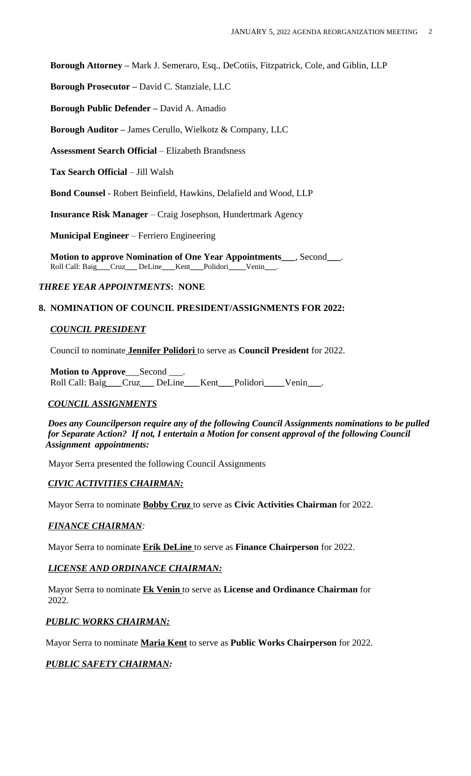**Borough Attorney –** Mark J. Semeraro, Esq., DeCotiis, Fitzpatrick, Cole, and Giblin, LLP

**Borough Prosecutor –** David C. Stanziale, LLC

 **Borough Public Defender –** David A. Amadio

**Borough Auditor –** James Cerullo, Wielkotz & Company, LLC

**Assessment Search Official** – Elizabeth Brandsness

**Tax Search Official** – Jill Walsh

**Bond Counsel** - Robert Beinfield, Hawkins, Delafield and Wood, LLP

**Insurance Risk Manager** – Craig Josephson, Hundertmark Agency

 **Municipal Engineer** – Ferriero Engineering

 **Motion to approve Nomination of One Year Appointments**\_\_\_, Second\_\_\_. Roll Call: Baig\_\_\_Cruz\_\_\_ DeLine\_\_\_ Kent\_\_\_Polidori\_\_\_\_Venin\_\_\_.

# *THREE YEAR APPOINTMENTS***: NONE**

### **8. NOMINATION OF COUNCIL PRESIDENT/ASSIGNMENTS FOR 2022:**

# *COUNCIL PRESIDENT*

Council to nominate **Jennifer Polidori** to serve as **Council President** for 2022.

 **Motion to Approve**\_\_\_Second \_\_\_. Roll Call: Baig\_\_\_ Cruz\_\_\_ DeLine\_\_\_ Kent\_\_\_ Polidori\_\_\_\_ Venin

# *COUNCIL ASSIGNMENTS*

 *Does any Councilperson require any of the following Council Assignments nominations to be pulled for Separate Action? If not, I entertain a Motion for consent approval of the following Council Assignment appointments:*

Mayor Serra presented the following Council Assignments

# *CIVIC ACTIVITIES CHAIRMAN:*

Mayor Serra to nominate **Bobby Cruz** to serve as **Civic Activities Chairman** for 2022.

#### *FINANCE CHAIRMAN:*

Mayor Serra to nominate **Erik DeLine** to serve as **Finance Chairperson** for 2022.

# *LICENSE AND ORDINANCE CHAIRMAN:*

 Mayor Serra to nominate **Ek Venin** to serve as **License and Ordinance Chairman** for 2022.

# *PUBLIC WORKS CHAIRMAN:*

Mayor Serra to nominate **Maria Kent** to serve as **Public Works Chairperson** for 2022.

# *PUBLIC SAFETY CHAIRMAN:*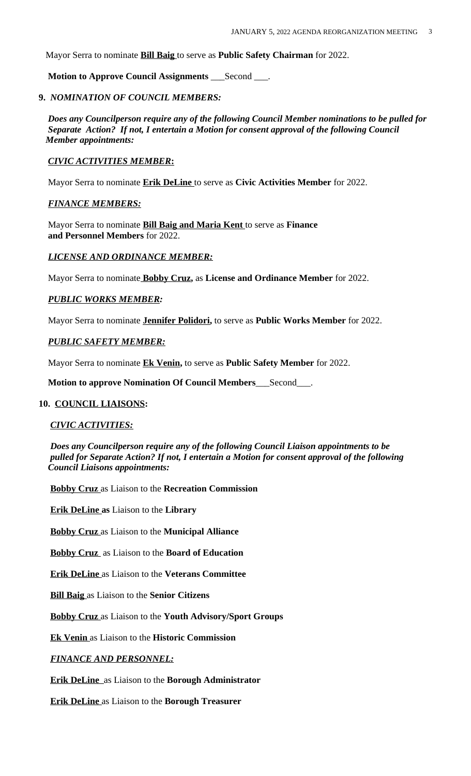Mayor Serra to nominate **Bill Baig** to serve as **Public Safety Chairman** for 2022.

**Motion to Approve Council Assignments** \_\_\_Second \_\_\_.

### **9.** *NOMINATION OF COUNCIL MEMBERS:*

 *Does any Councilperson require any of the following Council Member nominations to be pulled for Separate Action? If not, I entertain a Motion for consent approval of the following Council Member appointments:*

### *CIVIC ACTIVITIES MEMBER***:**

Mayor Serra to nominate **Erik DeLine** to serve as **Civic Activities Member** for 2022.

# *FINANCE MEMBERS:*

 Mayor Serra to nominate **Bill Baig and Maria Kent** to serve as **Finance and Personnel Members** for 2022.

 *LICENSE AND ORDINANCE MEMBER:*

Mayor Serra to nominate **Bobby Cruz,** as **License and Ordinance Member** for 2022.

### *PUBLIC WORKS MEMBER:*

Mayor Serra to nominate **Jennifer Polidori,** to serve as **Public Works Member** for 2022.

### *PUBLIC SAFETY MEMBER:*

Mayor Serra to nominate **Ek Venin,** to serve as **Public Safety Member** for 2022.

**Motion to approve Nomination Of Council Members**\_\_\_Second\_\_\_.

# **10. COUNCIL LIAISONS:**

#### *CIVIC ACTIVITIES:*

*Does any Councilperson require any of the following Council Liaison appointments to be pulled for Separate Action? If not, I entertain a Motion for consent approval of the following Council Liaisons appointments:*

**Bobby Cruz** as Liaison to the **Recreation Commission**

**Erik DeLine as** Liaison to the **Library**

 **Bobby Cruz** as Liaison to the **Municipal Alliance**

**Bobby Cruz** as Liaison to the **Board of Education**

**Erik DeLine** as Liaison to the **Veterans Committee**

**Bill Baig** as Liaison to the **Senior Citizens**

**Bobby Cruz** as Liaison to the **Youth Advisory/Sport Groups**

 **Ek Venin** as Liaison to the **Historic Commission**

#### *FINANCE AND PERSONNEL:*

**Erik DeLine** as Liaison to the **Borough Administrator**

**Erik DeLine** as Liaison to the **Borough Treasurer**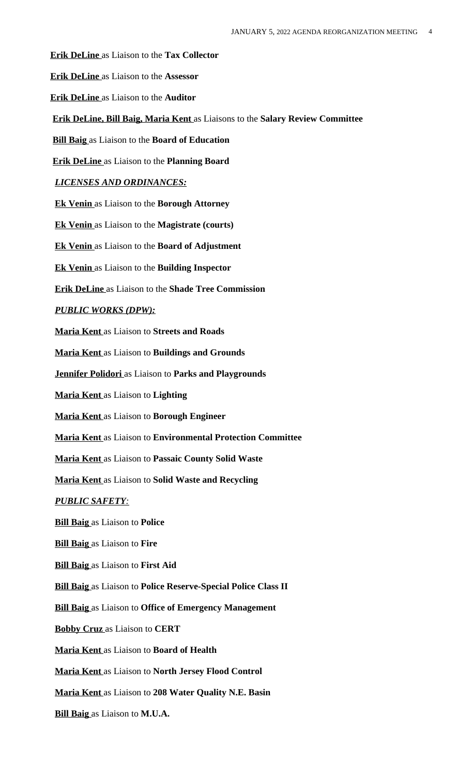**Erik DeLine** as Liaison to the **Tax Collector**

**Erik DeLine** as Liaison to the **Assessor**

 **Erik DeLine** as Liaison to the **Auditor**

**Erik DeLine, Bill Baig, Maria Kent** as Liaisons to the **Salary Review Committee**

**Bill Baig** as Liaison to the **Board of Education**

**Erik DeLine** as Liaison to the **Planning Board**

### *LICENSES AND ORDINANCES:*

 **Ek Venin** as Liaison to the **Borough Attorney**

**Ek Venin** as Liaison to the **Magistrate (courts)**

**Ek Venin** as Liaison to the **Board of Adjustment**

**Ek Venin** as Liaison to the **Building Inspector**

**Erik DeLine** as Liaison to the **Shade Tree Commission**

#### *PUBLIC WORKS (DPW):*

**Maria Kent** as Liaison to **Streets and Roads**

**Maria Kent** as Liaison to **Buildings and Grounds**

**Jennifer Polidori** as Liaison to **Parks and Playgrounds**

**Maria Kent** as Liaison to **Lighting**

**Maria Kent** as Liaison to **Borough Engineer**

**Maria Kent** as Liaison to **Environmental Protection Committee**

**Maria Kent** as Liaison to **Passaic County Solid Waste**

 **Maria Kent** as Liaison to **Solid Waste and Recycling**

#### *PUBLIC SAFETY:*

**Bill Baig** as Liaison to **Police**

**Bill Baig** as Liaison to **Fire**

**Bill Baig** as Liaison to **First Aid**

**Bill Baig** as Liaison to **Police Reserve-Special Police Class II**

 **Bill Baig** as Liaison to **Office of Emergency Management**

 **Bobby Cruz** as Liaison to **CERT**

**Maria Kent** as Liaison to **Board of Health**

**Maria Kent** as Liaison to **North Jersey Flood Control**

**Maria Kent** as Liaison to **208 Water Quality N.E. Basin**

**Bill Baig** as Liaison to **M.U.A.**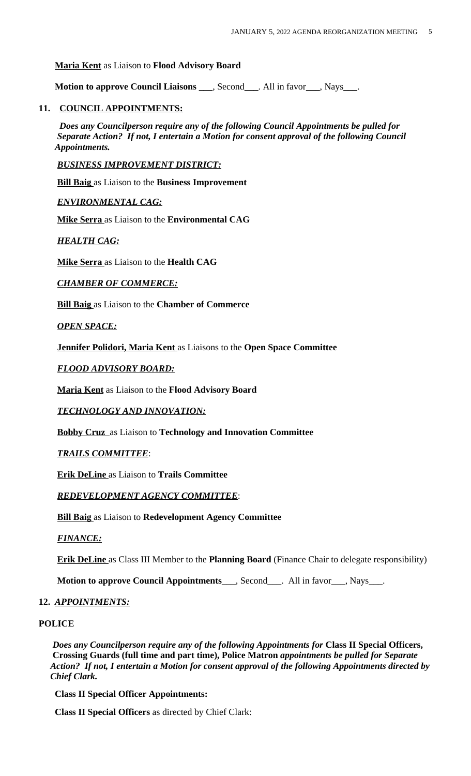### **Maria Kent** as Liaison to **Flood Advisory Board**

**Motion to approve Council Liaisons \_\_\_, Second\_\_\_. All in favor\_\_\_, Nays\_\_\_.** 

### **11. COUNCIL APPOINTMENTS:**

*Does any Councilperson require any of the following Council Appointments be pulled for Separate Action? If not, I entertain a Motion for consent approval of the following Council Appointments.*

 *BUSINESS IMPROVEMENT DISTRICT:*

 **Bill Baig** as Liaison to the **Business Improvement**

 *ENVIRONMENTAL CAG:*

 **Mike Serra** as Liaison to the **Environmental CAG**

 *HEALTH CAG:*

 **Mike Serra** as Liaison to the **Health CAG**

*CHAMBER OF COMMERCE:*

 **Bill Baig** as Liaison to the **Chamber of Commerce**

*OPEN SPACE:*

 **Jennifer Polidori, Maria Kent** as Liaisons to the **Open Space Committee**

*FLOOD ADVISORY BOARD:*

**Maria Kent** as Liaison to the **Flood Advisory Board**

*TECHNOLOGY AND INNOVATION:*

**Bobby Cruz** as Liaison to **Technology and Innovation Committee**

#### *TRAILS COMMITTEE*:

**Erik DeLine** as Liaison to **Trails Committee**

#### *REDEVELOPMENT AGENCY COMMITTEE*:

**Bill Baig** as Liaison to **Redevelopment Agency Committee**

*FINANCE:*

**Erik DeLine** as Class III Member to the **Planning Board** (Finance Chair to delegate responsibility)

**Motion to approve Council Appointments**\_\_\_, Second\_\_\_. All in favor\_\_\_, Nays\_\_\_.

#### **12.** *APPOINTMENTS:*

**POLICE**

*Does any Councilperson require any of the following Appointments for* **Class II Special Officers, Crossing Guards (full time and part time), Police Matron** *appointments be pulled for Separate Action? If not, I entertain a Motion for consent approval of the following Appointments directed by Chief Clark.*

 **Class II Special Officer Appointments:**

**Class II Special Officers** as directed by Chief Clark: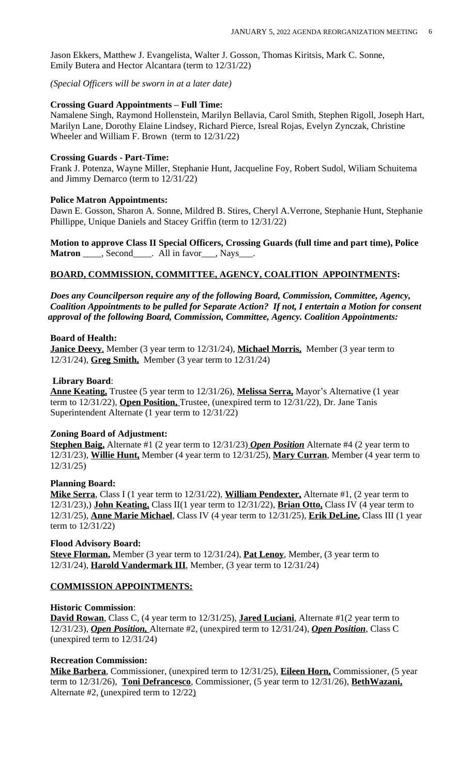Jason Ekkers, Matthew J. Evangelista, Walter J. Gosson, Thomas Kiritsis, Mark C. Sonne, Emily Butera and Hector Alcantara (term to 12/31/22)

*(Special Officers will be sworn in at a later date)*

### **Crossing Guard Appointments – Full Time:**

 Namalene Singh, Raymond Hollenstein, Marilyn Bellavia, Carol Smith, Stephen Rigoll, Joseph Hart, Marilyn Lane, Dorothy Elaine Lindsey, Richard Pierce, Isreal Rojas, Evelyn Zynczak, Christine Wheeler and William F. Brown (term to 12/31/22)

### **Crossing Guards - Part-Time:**

 Frank J. Potenza, Wayne Miller, Stephanie Hunt, Jacqueline Foy, Robert Sudol, Wiliam Schuitema and Jimmy Demarco (term to 12/31/22)

### **Police Matron Appointments:**

Dawn E. Gosson, Sharon A. Sonne, Mildred B. Stires, Cheryl A. Verrone, Stephanie Hunt, Stephanie Phillippe, Unique Daniels and Stacey Griffin (term to 12/31/22)

 **Motion to approve Class II Special Officers, Crossing Guards (full time and part time), Police Matron** \_\_\_\_, Second \_\_\_\_. All in favor \_\_\_, Nays \_\_\_.

# **BOARD, COMMISSION, COMMITTEE, AGENCY, COALITION APPOINTMENTS:**

*Does any Councilperson require any of the following Board, Commission, Committee, Agency, Coalition Appointments to be pulled for Separate Action? If not, I entertain a Motion for consent approval of the following Board, Commission, Committee, Agency. Coalition Appointments:*

### **Board of Health:**

 **Janice Deevy**, Member (3 year term to 12/31/24), **Michael Morris,** Member (3 year term to 12/31/24), **Greg Smith,** Member (3 year term to 12/31/24)

### **Library Board**:

 **Anne Keating,** Trustee (5 year term to 12/31/26), **Melissa Serra,** Mayor's Alternative (1 year term to 12/31/22), **Open Position,** Trustee, (unexpired term to 12/31/22), Dr. Jane Tanis Superintendent Alternate (1 year term to 12/31/22)

# **Zoning Board of Adjustment:**

 **Stephen Baig,** Alternate #1 (2 year term to 12/31/23) *Open Position* Alternate #4 (2 year term to 12/31/23), **Willie Hunt,** Member (4 year term to 12/31/25), **Mary Curran**, Member (4 year term to 12/31/25)

# **Planning Board:**

 **Mike Serra**, Class I (1 year term to 12/31/22), **William Pendexter,** Alternate #1, (2 year term to 12/31/23),) **John Keating,** Class II(1 year term to 12/31/22), **Brian Otto,** Class IV (4 year term to 12/31/25), **Anne Marie Michael**, Class IV (4 year term to 12/31/25), **Erik DeLine,** Class III (1 year term to 12/31/22)

# **Flood Advisory Board:**

 **Steve Florman,** Member (3 year term to 12/31/24), **Pat Lenoy**, Member, (3 year term to 12/31/24), **Harold Vandermark III**, Member, (3 year term to 12/31/24)

# **COMMISSION APPOINTMENTS:**

# **Historic Commission**:

 **David Rowan**, Class C, (4 year term to 12/31/25), **Jared Luciani**, Alternate #1(2 year term to 12/31/23), *Open Position,* Alternate #2, (unexpired term to 12/31/24), *Open Position*, Class C (unexpired term to 12/31/24)

# **Recreation Commission:**

 **Mike Barbera**, Commissioner, (unexpired term to 12/31/25), **Eileen Horn,** Commissioner, (5 year term to 12/31/26), **Toni Defrancesco**, Commissioner, (5 year term to 12/31/26), **BethWazani,** Alternate #2, (unexpired term to 12/22)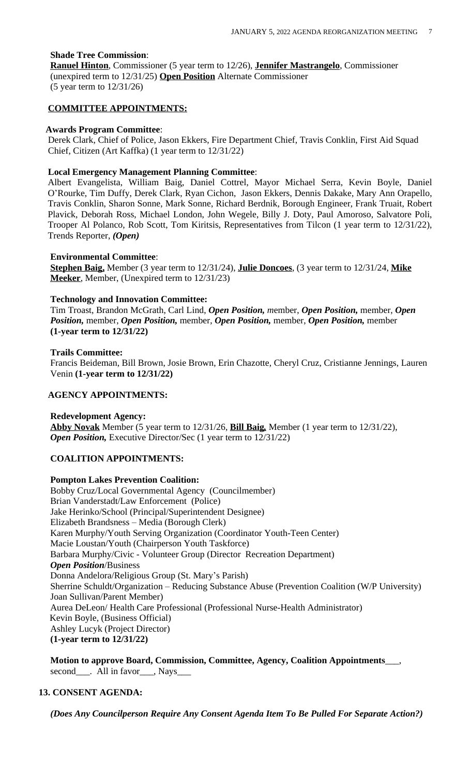# **Shade Tree Commission**:

 **Ranuel Hinton**, Commissioner (5 year term to 12/26), **Jennifer Mastrangelo**, Commissioner (unexpired term to 12/31/25) **Open Position** Alternate Commissioner (5 year term to 12/31/26)

### **COMMITTEE APPOINTMENTS:**

#### **Awards Program Committee**:

 Derek Clark, Chief of Police, Jason Ekkers, Fire Department Chief, Travis Conklin, First Aid Squad Chief, Citizen (Art Kaffka) (1 year term to 12/31/22)

#### **Local Emergency Management Planning Committee**:

Albert Evangelista, William Baig, Daniel Cottrel, Mayor Michael Serra, Kevin Boyle, Daniel O'Rourke, Tim Duffy, Derek Clark, Ryan Cichon, Jason Ekkers, Dennis Dakake, Mary Ann Orapello, Travis Conklin, Sharon Sonne, Mark Sonne, Richard Berdnik, Borough Engineer, Frank Truait, Robert Plavick, Deborah Ross, Michael London, John Wegele, Billy J. Doty, Paul Amoroso, Salvatore Poli, Trooper Al Polanco, Rob Scott, Tom Kiritsis, Representatives from Tilcon (1 year term to 12/31/22), Trends Reporter, *(Open)*

#### **Environmental Committee**:

 **Stephen Baig,** Member (3 year term to 12/31/24), **Julie Doncoes**, (3 year term to 12/31/24, **Mike Meeker**, Member, (Unexpired term to 12/31/23)

#### **Technology and Innovation Committee:**

Tim Troast, Brandon McGrath, Carl Lind, *Open Position, m*ember, *Open Position,* member, *Open Position,* member, *Open Position,* member, *Open Position,* member, *Open Position,* member **(1-year term to 12/31/22)**

#### **Trails Committee:**

Francis Beideman, Bill Brown, Josie Brown, Erin Chazotte, Cheryl Cruz, Cristianne Jennings, Lauren Venin **(1-year term to 12/31/22)**

### **AGENCY APPOINTMENTS:**

#### **Redevelopment Agency:**

 **Abby Novak** Member (5 year term to 12/31/26, **Bill Baig***,* Member (1 year term to 12/31/22),  *Open Position,* Executive Director/Sec (1 year term to 12/31/22)

### **COALITION APPOINTMENTS:**

#### **Pompton Lakes Prevention Coalition:**

 Bobby Cruz/Local Governmental Agency (Councilmember) Brian Vanderstadt/Law Enforcement (Police) Jake Herinko/School (Principal/Superintendent Designee) Elizabeth Brandsness – Media (Borough Clerk) Karen Murphy/Youth Serving Organization (Coordinator Youth-Teen Center) Macie Loustan/Youth (Chairperson Youth Taskforce) Barbara Murphy/Civic - Volunteer Group (Director Recreation Department) *Open Position*/Business Donna Andelora/Religious Group (St. Mary's Parish) Sherrine Schuldt/Organization – Reducing Substance Abuse (Prevention Coalition (W/P University) Joan Sullivan/Parent Member) Aurea DeLeon/ Health Care Professional (Professional Nurse-Health Administrator) Kevin Boyle, (Business Official) Ashley Lucyk (Project Director)  **(1-year term to 12/31/22)**

 **Motion to approve Board, Commission, Committee, Agency, Coalition Appointments**\_\_\_, second\_\_\_\_. All in favor\_\_\_, Nays\_

# **13. CONSENT AGENDA:**

 *(Does Any Councilperson Require Any Consent Agenda Item To Be Pulled For Separate Action?)*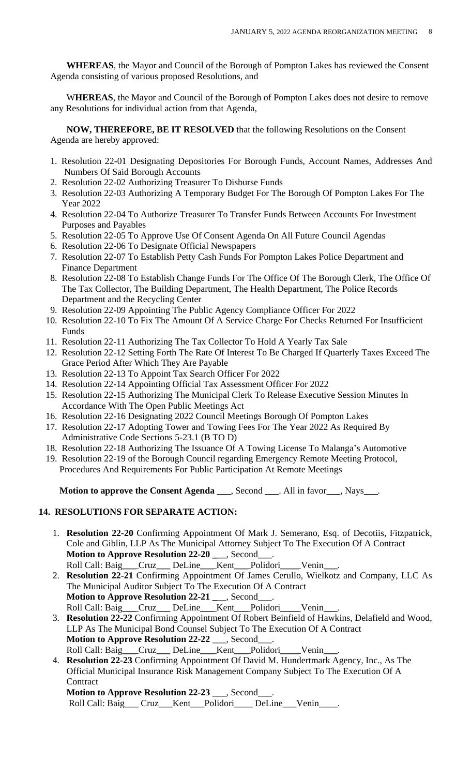**WHEREAS**, the Mayor and Council of the Borough of Pompton Lakes has reviewed the Consent Agenda consisting of various proposed Resolutions, and

 W**HEREAS**, the Mayor and Council of the Borough of Pompton Lakes does not desire to remove any Resolutions for individual action from that Agenda,

 **NOW, THEREFORE, BE IT RESOLVED** that the following Resolutions on the Consent Agenda are hereby approved:

- 1. Resolution 22-01 Designating Depositories For Borough Funds, Account Names, Addresses And Numbers Of Said Borough Accounts
- 2. Resolution 22-02 Authorizing Treasurer To Disburse Funds
- 3. Resolution 22-03 Authorizing A Temporary Budget For The Borough Of Pompton Lakes For The Year 2022
- 4. Resolution 22-04 To Authorize Treasurer To Transfer Funds Between Accounts For Investment Purposes and Payables
- 5. Resolution 22-05 To Approve Use Of Consent Agenda On All Future Council Agendas
- 6. Resolution 22-06 To Designate Official Newspapers
- 7. Resolution 22-07 To Establish Petty Cash Funds For Pompton Lakes Police Department and Finance Department
- 8. Resolution 22-08 To Establish Change Funds For The Office Of The Borough Clerk, The Office Of The Tax Collector, The Building Department, The Health Department, The Police Records Department and the Recycling Center
- 9. Resolution 22-09 Appointing The Public Agency Compliance Officer For 2022
- 10. Resolution 22-10 To Fix The Amount Of A Service Charge For Checks Returned For Insufficient Funds
- 11. Resolution 22-11 Authorizing The Tax Collector To Hold A Yearly Tax Sale
- 12. Resolution 22-12 Setting Forth The Rate Of Interest To Be Charged If Quarterly Taxes Exceed The Grace Period After Which They Are Payable
- 13. Resolution 22-13 To Appoint Tax Search Officer For 2022
- 14. Resolution 22-14 Appointing Official Tax Assessment Officer For 2022
- 15. Resolution 22-15 Authorizing The Municipal Clerk To Release Executive Session Minutes In Accordance With The Open Public Meetings Act
- 16. Resolution 22-16 Designating 2022 Council Meetings Borough Of Pompton Lakes
- 17. Resolution 22-17 Adopting Tower and Towing Fees For The Year 2022 As Required By Administrative Code Sections 5-23.1 (B TO D)
- 18. Resolution 22-18 Authorizing The Issuance Of A Towing License To Malanga's Automotive
- 19. Resolution 22-19 of the Borough Council regarding Emergency Remote Meeting Protocol, Procedures And Requirements For Public Participation At Remote Meetings

**Motion to approve the Consent Agenda** \_\_\_, Second \_\_\_. All in favor\_\_\_, Nays\_\_\_.

# **14. RESOLUTIONS FOR SEPARATE ACTION:**

- 1. **Resolution 22-20** Confirming Appointment Of Mark J. Semerano, Esq. of Decotiis, Fitzpatrick, Cole and Giblin, LLP As The Municipal Attorney Subject To The Execution Of A Contract  **Motion to Approve Resolution 22-20 \_**\_\_, Second\_\_\_. Roll Call: Baig\_\_\_Cruz\_\_\_ DeLine\_\_\_ Kent\_\_\_ Polidori\_\_\_\_ Venin\_\_\_
- 2. **Resolution 22-21** Confirming Appointment Of James Cerullo, Wielkotz and Company, LLC As The Municipal Auditor Subject To The Execution Of A Contract **Motion to Approve Resolution 22-21 \_\_\_, Second\_** Roll Call: Baig\_\_\_Cruz\_\_\_ DeLine\_\_\_ Kent\_\_\_Polidori\_\_\_\_Venin\_\_\_
- 3. **Resolution 22-22** Confirming Appointment Of Robert Beinfield of Hawkins, Delafield and Wood, LLP As The Municipal Bond Counsel Subject To The Execution Of A Contract **Motion to Approve Resolution 22-22** \_\_\_, Second\_\_\_. Roll Call: Baig\_\_\_Cruz\_\_\_ DeLine\_\_\_ Kent\_\_\_Polidori\_\_\_\_Venin\_
- 4. **Resolution 22-23** Confirming Appointment Of David M. Hundertmark Agency, Inc., As The Official Municipal Insurance Risk Management Company Subject To The Execution Of A **Contract**

**Motion to Approve Resolution 22-23** \_\_\_, Second\_\_\_.

Roll Call: Baig\_\_\_ Cruz\_\_\_Kent\_\_\_Polidori\_\_\_\_ DeLine\_\_\_Venin\_\_\_\_.